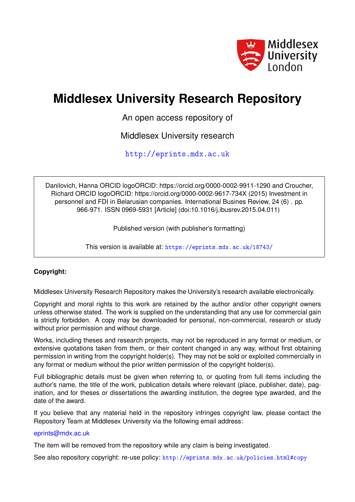

# **Middlesex University Research Repository**

An open access repository of

Middlesex University research

<http://eprints.mdx.ac.uk>

Danilovich, Hanna ORCID logoORCID: https://orcid.org/0000-0002-9911-1290 and Croucher, Richard ORCID logoORCID: https://orcid.org/0000-0002-9617-734X (2015) Investment in personnel and FDI in Belarusian companies. International Busines Review, 24 (6) . pp. 966-971. ISSN 0969-5931 [Article] (doi:10.1016/j.ibusrev.2015.04.011)

Published version (with publisher's formatting)

This version is available at: <https://eprints.mdx.ac.uk/18743/>

# **Copyright:**

Middlesex University Research Repository makes the University's research available electronically.

Copyright and moral rights to this work are retained by the author and/or other copyright owners unless otherwise stated. The work is supplied on the understanding that any use for commercial gain is strictly forbidden. A copy may be downloaded for personal, non-commercial, research or study without prior permission and without charge.

Works, including theses and research projects, may not be reproduced in any format or medium, or extensive quotations taken from them, or their content changed in any way, without first obtaining permission in writing from the copyright holder(s). They may not be sold or exploited commercially in any format or medium without the prior written permission of the copyright holder(s).

Full bibliographic details must be given when referring to, or quoting from full items including the author's name, the title of the work, publication details where relevant (place, publisher, date), pagination, and for theses or dissertations the awarding institution, the degree type awarded, and the date of the award.

If you believe that any material held in the repository infringes copyright law, please contact the Repository Team at Middlesex University via the following email address:

# [eprints@mdx.ac.uk](mailto:eprints@mdx.ac.uk)

The item will be removed from the repository while any claim is being investigated.

See also repository copyright: re-use policy: <http://eprints.mdx.ac.uk/policies.html#copy>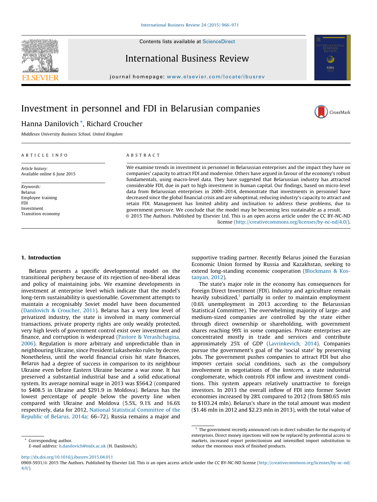

International Business Review

Contents lists available at [ScienceDirect](http://www.sciencedirect.com/science/journal/09695931)

journal homepage: [www.elsevier.com/locate/ibus](www.elsevier.com/locate/ibusrev)rev

# Investment in personnel and FDI in Belarusian companies



## Hanna Danilovich \*, Richard Croucher

Middlesex University Business School, United Kingdom

### A R T I C L E I N F O

Article history: Available online 6 June 2015

Keywords: Belarus Employee training FDI Investment Transition economy

### A B S T R A C T

We examine trends in investment in personnel in Belarussian enterprises and the impact they have on companies' capacity to attract FDI and modernise. Others have argued in favour of the economy's robust fundamentals, using macro-level data. They have suggested that Belarussian industry has attracted considerable FDI, due in part to high investment in human capital. Our findings, based on micro-level data from Belarussian enterprises in 2009–2014, demonstrate that investments in personnel have decreased since the global financial crisis and are suboptimal, reducing industry's capacity to attract and retain FDI. Management has limited ability and inclination to address these problems, due to government pressure. We conclude that the model may be becoming less sustainable as a result. © 2015 The Authors. Published by Elsevier Ltd. This is an open access article under the CC BY-NC-ND license (<http://creativecommons.org/licenses/by-nc-nd/4.0/>).

### 1. Introduction

Belarus presents a specific developmental model on the transitional periphery because of its rejection of neo-liberal ideas and policy of maintaining jobs. We examine developments in investment at enterprise level which indicate that the model's long-term sustainability is questionable. Government attempts to maintain a recognisably Soviet model have been documented ([Danilovich](#page-6-0) & Croucher, 2011). Belarus has a very low level of privatized industry, the state is involved in many commercial transactions, private property rights are only weakly protected, very high levels of government control exist over investment and finance, and corruption is widespread (Pastore & [Verashchagina,](#page-6-0) [2006\)](#page-6-0). Regulation is more arbitrary and unpredictable than in neighbouring Ukraine, since President Lukashenko rules by decree. Nonetheless, until the world financial crisis hit state finances, Belarus had a degree of success in comparison to its neighbour Ukraine even before Eastern Ukraine became a war zone. It has preserved a substantial industrial base and a solid educational system. Its average nominal wage in 2013 was \$564.2 (compared to \$408.5 in Ukraine and \$291.9 in Moldova). Belarus has the lowest percentage of people below the poverty line when compared with Ukraine and Moldova (5.5%, 9.1% and 16.6% respectively, data for 2012, National Statistical [Committee](#page-6-0) of the [Republic](#page-6-0) of Belarus, 2014a: 66–72). Russia remains a major and

\* Corresponding author. E-mail address: [h.danilovich@mdx.ac.uk](mailto:h.danilovich@mdx.ac.uk) (H. Danilovich). supportive trading partner. Recently Belarus joined the Eurasian Economic Union formed by Russia and Kazakhstan, seeking to extend long-standing economic cooperation [\(Blockmans](#page-6-0) & Kos[tanyan,](#page-6-0) 2012).

The state's major role in the economy has consequences for Foreign Direct Investment (FDI). Industry and agriculture remain heavily subsidized, $1$  partially in order to maintain employment (0.6% unemployment in 2013 according to the Belarussian Statistical Committee). The overwhelming majority of large- and medium-sized companies are controlled by the state either through direct ownership or shareholding, with government shares reaching 99% in some companies. Private enterprises are concentrated mostly in trade and services and contribute approximately 25% of GDP ([Lavrinkevich,](#page-6-0) 2014). Companies pursue the government's goal of the 'social state' by preserving jobs. The government pushes companies to attract FDI but also imposes certain social conditions, such as the compulsory involvement in negotiations of the kontcern, a state industrial conglomerate, which controls FDI inflow and investment conditions. This system appears relatively unattractive to foreign investors. In 2013 the overall inflow of FDI into former Soviet economies increased by 28% compared to 2012 (from \$80.65 mln to \$103.24 mln). Belarus's share in the total amount was modest (\$1.46 mln in 2012 and \$2.23 mln in 2013), with the total value of

<http://dx.doi.org/10.1016/j.ibusrev.2015.04.011>

 $1$  The government recently announced cuts in direct subsidies for the majority of enterprises. Direct money injections will now be replaced by preferential access to markets, increased export protectionism and intensified import substitution to reduce the enormous stock of finished products.

<sup>0969-5931/@ 2015</sup> The Authors. Published by Elsevier Ltd. This is an open access article under the CC BY-NC-ND license ([http://creativecommons.org/licenses/by-nc-nd/](http://creativecommons.org/licenses/by-nc-nd/4.0/) [4.0/](http://creativecommons.org/licenses/by-nc-nd/4.0/)).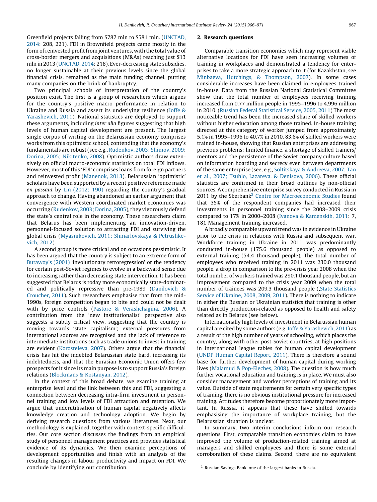Greenfield projects falling from \$787 mln to \$581 mln. ([UNCTAD,](#page-6-0) [2014:](#page-6-0) 208, 221). FDI in Brownfield projects came mostly in the form of reinvested profit from joint ventures, with the total value of cross-border mergers and acquisitions (M&As) reaching just \$13 mln in 2013 [\(UNCTAD,](#page-6-0) 2014: 218). Ever-decreasing state subsidies, no longer sustainable at their previous levels since the global financial crisis, remained as the main funding channel, putting many companies on the brink of bankruptcy.

Two principal schools of interpretation of the country's position exist. The first is a group of researchers which argues for the country's positive macro performance in relation to Ukraine and Russia and assert its underlying resilience [\(Ioffe](#page-6-0) & [Yarashevich,](#page-6-0) 2011). National statistics are deployed to support these arguments, including inter alia figures suggesting that high levels of human capital development are present. The largest single corpus of writing on the Belarussian economy comprises works from this optimistic school, contending that the economy's fundamentals are robust(see e.g., [Rudenkov,](#page-6-0) 2003; Shimov, 2009; Dorina, 2005; [Nikitenko,](#page-6-0) 2008). Optimistic authors draw extensively on official macro-economic statistics on total FDI inflows. However, most of this 'FDI' comprises loans from foreign partners and reinvested profit [\(Manenok,](#page-6-0) 2013). Belarussian 'optimistic' scholars have been supported by a recent positive reference made en passant by Lin [\(2012:](#page-6-0) 190) regarding the country's gradual approach to change. Having abandoned an earlier argument that convergence with Western coordinated market economies was occurring [\(Rudenkov,](#page-6-0) 2003; Dorina, 2005), they vigorously defend the state's central role in the economy. These researchers claim that Belarus has been implementing an innovation-driven, personnel-focused solution to attracting FDI and surviving the global crisis (Myasnikovich, 2011; [Shmarlovskaya](#page-6-0) & Petrushkevich, [2012\)](#page-6-0).

A second group is more critical and on occasions pessimistic. It has been argued that the country is subject to an extreme form of [Burawoy's](#page-6-0) (2001) 'involutionary retroregression' or the tendency for certain post-Soviet regimes to evolve in a backward sense due to increasing rather than decreasing state intervention. It has been suggested that Belarus is today more economically state-dominated and politically repressive than pre-1989 [\(Danilovich](#page-6-0) & [Croucher,](#page-6-0) 2011). Such researchers emphasise that from the mid-1990s, foreign competition began to bite and could not be dealt with by price controls (Pastore & [Verashchagina,](#page-6-0) 2006). A contribution from the 'new institutionalist' perspective also suggests a subtly critical view, suggesting that the country is moving towards 'state capitalism'; external pressures from international sources are recognised and the lack of reference to intermediate institutions such as trade unions to invest in training are evident [\(Korosteleva,](#page-6-0) 2007). Others argue that the financial crisis has hit the indebted Belarussian state hard, increasing its indebtedness, and that the Eurasian Economic Union offers few prospects for it since its main purpose is to support Russia's foreign relations (Blockmans & [Kostanyan,](#page-6-0) 2012).

In the context of this broad debate, we examine training at enterprise level and the link between this and FDI, suggesting a connection between decreasing intra-firm investment in personnel training and low levels of FDI attraction and retention. We argue that underutilisation of human capital negatively affects knowledge creation and technology adoption. We begin by deriving research questions from various literatures. Next, our methodology is explained, together with context-specific difficulties. Our core section discusses the findings from an empirical study of personnel management practices and provides statistical evidence of its dynamics. We then examine perceptions of development opportunities and finish with an analysis of the resulting changes in labour productivity and impact on FDI. We conclude by identifying our contribution.

#### 2. Research questions

Comparable transition economies which may represent viable alternative locations for FDI have seen increasing volumes of training in workplaces and demonstrated a tendency for enterprises to take a more strategic approach to it (for Kazakhstan, see Minbaeva, Hutchings, & [Thompson,](#page-6-0) 2007). In some cases considerable increases have been claimed in employees trained in-house. Data from the Russian National Statistical Committee show that the total number of employees receiving training increased from 0.77 million people in 1995–1996 to 4.996 million in 2010. (Russian Federal [Statistical](#page-6-0) Service, 2005, 2011) The most noticeable trend has been the increased share of skilled workers without higher education among those trained. In-house training directed at this category of worker jumped from approximately 5.1% in 1995–1996 to 40.7% in 2010. 83.6% of skilled workers were trained in-house, showing that Russian enterprises are addressing previous problems: limited finance, a shortage of skilled trainers/ mentors and the persistence of the Soviet company culture based on information hoarding and secrecy even between departments of the same enterprise (see, e.g., [Soltitskaya](#page-6-0) & Andreeva, 2007; [Tan](#page-6-0) et al., 2007; Tsuhlo, Lazareva, & [Denisova,](#page-6-0) 2006). These official statistics are confirmed in their broad outlines by non-official sources. A comprehensive enterprise survey conducted in Russia in 2011 by the Sberbank<sup>2</sup> Centre for [Macroeconomic](#page-6-0) Studies found that 35% of the respondent companies had increased their investments in personnel training since the 2008–2009 crisis compared to 17% in 2000–2008 (Ivanova & [Kamenskih,](#page-6-0) 2011: 7, 18). Management training increased.

A broadly comparable upward trend was in evidence in Ukraine prior to the crisis in relations with Russia and subsequent war. Workforce training in Ukraine in 2011 was predominantly conducted in-house (175.6 thousand people) as opposed to external training (54.4 thousand people). The total number of employees who received training in 2011 was 230.0 thousand people, a drop in comparison to the pre-crisis year 2008 when the total number of workers trained was 290.1 thousand people, but an improvement compared to the crisis year 2009 when the total number of trainees was 209.3 thousand people (, State [Statistics](#page-6-0) Service of [Ukraine,](#page-6-0) 2008, 2009, 2011). There is nothing to indicate in either the Russian or Ukrainian statistics that training is other than directly production-related as opposed to health and safety related as in Belarus (see below).

Internationally high levels of investment in Belarussian human capital are cited by some authors (e.g. Ioffe & [Yarashevich,](#page-6-0) 2011) as a result of the high number of years of schooling, which places the country, along with other post-Soviet countries, at high positions in international league tables for human capital development (UNDP [Human](#page-6-0) Capital Report, 2011). There is therefore a sound base for further development of human capital during working lives (Malamud & [Pop-Eleches,](#page-6-0) 2008). The question is how much further vocational education and training is in place. We must also consider management and worker perceptions of training and its value. Outside of state requirements for certain very specific types of training, there is no obvious institutional pressure for increased training. Attitudes therefore become proportionately more important. In Russia, it appears that these have shifted towards emphasising the importance of workplace training, but the Belarussian situation is unclear.

In summary, two interim conclusions inform our research questions. First, comparable transition economies claim to have improved the volume of production-related training aimed at managers and skilled employees and there is some external corroboration of these claims. Second, there are no equivalent

<sup>2</sup> Russian Savings Bank, one of the largest banks in Russia.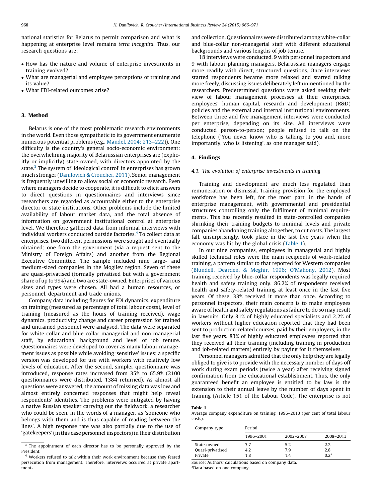national statistics for Belarus to permit comparison and what is happening at enterprise level remains terra incognita. Thus, our research questions are:

- How has the nature and volume of enterprise investments in training evolved?
- What are managerial and employee perceptions of training and its value?
- What FDI-related outcomes arise?

#### 3. Method

Belarus is one of the most problematic research environments in the world. Even those sympathetic to its government enumerate numerous potential problems (e.g., Mandel, 2004: [213–222](#page-6-0))). One difficulty is the country's general socio-economic environment: the overwhelming majority of Belarussian enterprises are (explicitly or implicitly) state-owned, with directors appointed by the state.<sup>3</sup> The system of 'ideological control' in enterprises has grown much stronger [\(Danilovich](#page-6-0) & Croucher, 2011). Senior management is frequently unwilling to allow social or economic research. Even where managers decide to cooperate, it is difficult to elicit answers to direct questions in questionnaires and interviews since researchers are regarded as accountable either to the enterprise director or state institutions. Other problems include the limited availability of labour market data, and the total absence of information on government institutional control at enterprise level. We therefore gathered data from informal interviews with individual workers conducted outside factories.<sup>4</sup> To collect data at enterprises, two different permissions were sought and eventually obtained: one from the government (via a request sent to the Ministry of Foreign Affairs) and another from the Regional Executive Committee. The sample included nine large- and medium-sized companies in the Mogilev region. Seven of these are quasi-privatised (formally privatised but with a government share of up to 99%) and two are state-owned. Enterprises of various sizes and types were chosen. All had a human resources, or personnel, department and trade unions.

Company data including figures for FDI dynamics, expenditure on training (measured as percentage of total labour costs), level of training (measured as the hours of training received), wage dynamics, productivity change and career progression for trained and untrained personnel were analysed. The data were separated for white-collar and blue-collar managerial and non-managerial staff, by educational background and level of job tenure. Questionnaires were developed to cover as many labour management issues as possible while avoiding 'sensitive' issues; a specific version was developed for use with workers with relatively low levels of education. After the second, simpler questionnaire was introduced, response rates increased from 35% to 65.9% (2100 questionnaires were distributed, 1384 returned). As almost all questions were answered, the amount of missing data was low and almost entirely concerned responses that might help reveal respondents' identities. The problems were mitigated by having a native Russian speaker carrying out the fieldwork, a researcher who could be seen, in the words of a manager, as 'someone who belongs with them and is thus capable of reading between the lines'. A high response rate was also partially due to the use of 'gatekeepers' (in this case personnel inspectors) in their distribution

and collection. Questionnaires were distributed among white-collar and blue-collar non-managerial staff with different educational backgrounds and various lengths of job tenure.

18 interviews were conducted, 9 with personnel inspectors and 9 with labour planning managers. Belarussian managers engage more readily with direct, structured questions. Once interviews started respondents became more relaxed and started talking more freely, discussing issues deliberately left unmentioned by the researchers. Predetermined questions were asked seeking their view of labour management processes at their enterprises, employees' human capital, research and development (R&D) policies and the external and internal institutional environments. Between three and five management interviews were conducted per enterprise, depending on its size. All interviews were conducted person-to-person; people refused to talk on the telephone ('You never know who is talking to you and, more importantly, who is listening', as one manager said).

#### 4. Findings

#### 4.1. The evolution of enterprise investments in training

Training and development are much less regulated than remuneration or dismissal. Training provision for the employed workforce has been left, for the most part, in the hands of enterprise management, with governmental and presidential structures controlling only the fulfilment of minimal requirements. This has recently resulted in state-controlled companies shrinking their training budgets to minimal levels and private companies abandoning training altogether, to cut costs. The largest fall, unsurprisingly, took place in the last five years when the economy was hit by the global crisis (Table 1).

In our nine companies, employees in managerial and highly skilled technical roles were the main recipients of work-related training, a pattern similar to that reported for Western companies (Blundell, Dearden, & Meghir, 1996; [O'Mahony,](#page-6-0) 2012). Most training received by blue-collar respondents was legally required health and safety training only. 86.2% of respondents received health and safety-related training at least once in the last five years. Of these, 33% received it more than once. According to personnel inspectors, their main concern is to make employees aware of health and safety regulations as failure to do so may result in lawsuits. Only 31% of highly educated specialists and 2.2% of workers without higher education reported that they had been sent to production-related courses, paid by their employers, in the last five years. 83% of highly educated employees reported that they received all their training (including training in production and job-related matters) entirely by paying for it themselves.

Personnel managers admitted that the only help they are legally obliged to give is to provide with the necessary number of days off work during exam periods (twice a year) after receiving signed confirmation from the educational establishment. Thus, the only guaranteed benefit an employee is entitled to by law is the extension to their annual leave by the number of days spent in training (Article 151 of the Labour Code). The enterprise is not

#### Table 1

Average company expenditure on training, 1996–2013 (per cent of total labour costs).

| Company type                               | Period            |                   |                               |  |  |  |
|--------------------------------------------|-------------------|-------------------|-------------------------------|--|--|--|
|                                            | 1996-2001         | 2002-2007         | 2008-2013                     |  |  |  |
| State-owned<br>Quasi-privatised<br>Private | 3.7<br>4.2<br>1.8 | 5.2<br>7.9<br>1.4 | 2.2<br>2.8<br>0 <sup>2a</sup> |  |  |  |

Source: Authors' calculations based on company data. a Data based on one company.

<sup>&</sup>lt;sup>3</sup> The appointment of each director has to be personally approved by the President.

<sup>&</sup>lt;sup>4</sup> Workers refused to talk within their work environment because they feared persecution from management. Therefore, interviews occurred at private apartments.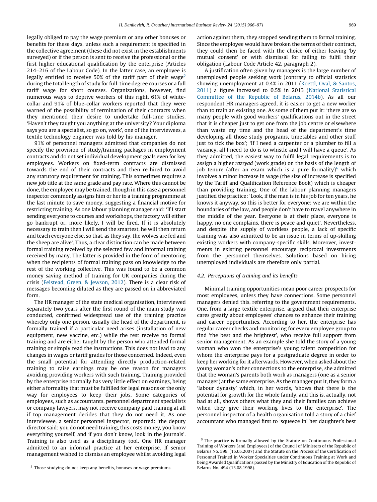legally obliged to pay the wage premium or any other bonuses or benefits for these days, unless such a requirement is specified in the collective agreement (these did not exist in the establishments surveyed) or if the person is sent to receive the professional or the first higher educational qualification by the enterprise (Articles 214–216 of the Labour Code). In the latter case, an employee is legally entitled to receive 50% of the tariff part of their wage<sup>5</sup> during the total length of study for full-time degree courses or a full tariff wage for short courses. Organizations, however, find numerous ways to deprive workers of this right. 61% of whitecollar and 91% of blue-collar workers reported that they were warned of the possibility of termination of their contracts when they mentioned their desire to undertake full-time studies. 'Haven't they taught you anything at the university? Your diploma says you are a specialist, so go on, work', one of the interviewees, a textile technology engineer was told by his manager.

91% of personnel managers admitted that companies do not specify the provision of study/training packages in employment contracts and do not set individual development goals even for key employees. Workers on fixed-term contracts are dismissed towards the end of their contracts and then re-hired to avoid any statutory requirement for training. This sometimes requires a new job title at the same grade and pay rate. Where this cannot be done, the employee may be trained, though in this case a personnel inspector commonly assigns him or her to a training programme at the last minute to save money, suggesting a financial motive for restricting training. As one labour planning manager said: 'If I start sending everyone to courses and workshops, the factory will either go bankrupt or, more likely, I will be fired. If it is absolutely necessary to train then I will send the smartest, he will then return and teach everyone else, so that, as they say, the wolves are fed and the sheep are alive'. Thus, a clear distinction can be made between formal training received by the selected few and informal training received by many. The latter is provided in the form of mentoring when the recipients of formal training pass on knowledge to the rest of the working collective. This was found to be a common money saving method of training for UK companies during the crisis ([Felstead,](#page-6-0) Green, & Jewson, 2012). There is a clear risk of messages becoming diluted as they are passed on in abbreviated form.

The HR manager of the state medical organisation, interviewed separately two years after the first round of the main study was conducted, confirmed widespread use of the training practice whereby only one person, usually the head of the department, is formally trained if a particular need arises (installation of new equipment, new vaccine, etc.) while the rest receive no formal training and are either taught by the person who attended formal training or simply read the instructions. This does not lead to any changes in wages or tariff grades for those concerned. Indeed, even the small potential for attending directly production-related training to raise earnings may be one reason for managers avoiding providing workers with such training. Training provided by the enterprise normally has very little effect on earnings, being either a formality that must be fulfilled for legal reasons or the only way for employees to keep their jobs. Some categories of employees, such as accountants, personnel department specialists or company lawyers, may not receive company paid training at all if top management decides that they do not need it. As one interviewee, a senior personnel inspector, reported: 'the deputy director said: you do not need training, this costs money, you know everything yourself, and if you don't know, look in the journals'. Training is also used as a disciplinary tool. One HR manager admitted to an informal practice at her enterprise. If senior management wished to dismiss an employee whilst avoiding legal action against them, they stopped sending them to formal training. Since the employee would have broken the terms of their contract, they could then be faced with the choice of either leaving 'by mutual consent' or with dismissal for failing to fulfil their obligation (Labour Code Article 42, paragraph 2).

A justification often given by managers is the large number of unemployed people seeking work (contrary to official statistics showing unemployment at 0.4% in 2011 (Koettl, Oval, & [Santos,](#page-6-0) [2011\)](#page-6-0) a figure increased to 0.5% in 2013 (National [Statistical](#page-6-0) [Committee](#page-6-0) of the Republic of Belarus, 2014b). As all our respondent HR managers agreed, it is easier to get a new worker than to train an existing one. As some of them put it: 'there are so many people with good workers' qualifications out in the street that it is cheaper just to get one from the job centre or elsewhere than waste my time and the head of the department's time developing all those study programs, timetables and other stuff just to tick the box'; 'If I need a carpenter or a plumber to fill a vacancy, all I need to do is to whistle and I will have a queue'. As they admitted, the easiest way to fulfil legal requirements is to assign a higher razryad (work grade) on the basis of the length of job tenure (after an exam which is a pure formality) $<sup>6</sup>$  which</sup> involves a minor increase in wage (the size of increase is specified by the Tariff and Qualification Reference Book) which is cheaper than providing training. One of the labour planning managers justified the practice: 'Look, if the man is in his job for ten years, he knows it anyway, so this is better for everyone: we are within the boundaries of the law, and people don't have to travel anywhere in the middle of the year. Everyone is at their place, everyone is happy, no one complains, there is peace and quiet'. Nevertheless, and despite the supply of workless people, a lack of specific training was also admitted to be an issue in terms of up-skilling existing workers with company-specific skills. Moreover, investments in existing personnel encourage reciprocal investments from the personnel themselves. Solutions based on hiring unemployed individuals are therefore only partial.

#### 4.2. Perceptions of training and its benefits

Minimal training opportunities mean poor career prospects for most employees, unless they have connections. Some personnel managers denied this, referring to the government requirements. One, from a large textile enterprise, argued that their enterprise cares greatly about employees' chances to enhance their training and career opportunities. According to her, the enterprise has regular career checks and monitoring for every employee group to find 'the best and the brightest', who receive full support from senior management. As an example she told the story of a young woman who won the enterprise's young talent competition for whom the enterprise pays for a postgraduate degree in order to keep her working for it afterwards. However, when asked about the young woman's other connections to the enterprise, she admitted that the woman's parents both work as managers (one as a senior manager) at the same enterprise. As the manager put it, they form a 'labour dynasty' which, in her words, 'shows that there is the potential for growth for the whole family, and this is, actually, not bad at all, shows others what they and their families can achieve when they give their working lives to the enterprise'. The personnel inspector of a health organisation told a story of a chief accountant who managed first to 'squeeze in' her daughter's best

<sup>&</sup>lt;sup>5</sup> Those studying do not keep any benefits, bonuses or wage premiums.

 $6$  The practice is formally allowed by the Statute on Continuous Professional Training of Workers (and Employees) of the Council of Ministers of the Republic of Belarus No. 599, (15.05.2007) and the Statute on the Process of the Certification of Personnel Trained in Worker Specialties under Continuous Training at Work and being Awarded Qualifications passed by the Ministry of Education of the Republic of Belarus No. 494 (13.08.1998).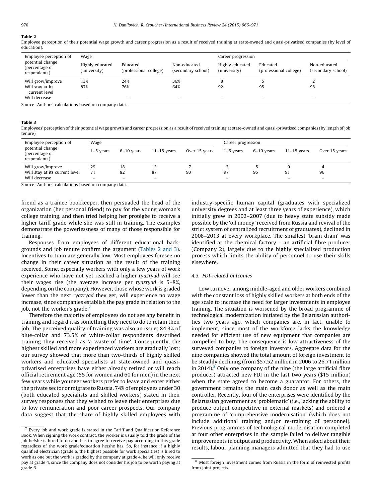#### Table 2

Employee perception of their potential wage growth and career progression as a result of received training at state-owned and quasi-privatised companies (by level of education).

| Wage                                        |              |                        | Career progression                 |                                    |  |  |
|---------------------------------------------|--------------|------------------------|------------------------------------|------------------------------------|--|--|
| Highly educated<br>Educated<br>(university) | Non-educated | (university)           | Educated<br>(professional college) | Non-educated<br>(secondary school) |  |  |
| 24%                                         | 36%          | Õ                      |                                    |                                    |  |  |
| 76%                                         | 64%          | 92                     | 95                                 | 98<br>-                            |  |  |
|                                             |              | (professional college) | (secondary school)                 | Highly educated                    |  |  |

Source: Authors' calculations based on company data.

#### Table 3

Employees' perception of their potential wage growth and career progression as a result of received training at state-owned and quasi-privatised companies (by length of job tenure).

| Employee perception of<br>potential change<br>(percentage of<br>respondents) | Wage                     |                   |                          | Career progression |             |            |                          |                          |
|------------------------------------------------------------------------------|--------------------------|-------------------|--------------------------|--------------------|-------------|------------|--------------------------|--------------------------|
|                                                                              | $1-5$ years              | 6–10 vears        | $11-15$ vears            | Over 15 years      | $1-5$ vears | 6–10 vears | $11-15$ vears            | Over 15 years            |
| Will grow/improve                                                            | 29                       | 18                | 13                       |                    |             |            | 9                        | 4                        |
| Will stay at its current level                                               | 71                       | 82                | 87                       | 93                 | 97          | 95         | 91                       | 96                       |
| Will decrease                                                                | $\overline{\phantom{m}}$ | $\qquad \qquad -$ | $\overline{\phantom{m}}$ |                    | -           |            | $\overline{\phantom{0}}$ | $\overline{\phantom{m}}$ |

Source: Authors' calculations based on company data.

friend as a trainee bookkeeper, then persuaded the head of the organization (her personal friend) to pay for the young woman's college training, and then tried helping her protégée to receive a higher tariff grade while she was still in training. The examples demonstrate the powerlessness of many of those responsible for training.

Responses from employees of different educational backgrounds and job tenure confirm the argument (Tables 2 and 3). Incentives to train are generally low. Most employees foresee no change in their career situation as the result of the training received. Some, especially workers with only a few years of work experience who have not yet reached a higher ryazryad will see their wages rise (the average increase per ryazryad is 5–8%, depending on the company). However, those whose work is graded lower than the next ryazryad they get, will experience no wage increase, since companies establish the pay grade in relation to the job, not the worker's grade.<sup>7</sup>

Therefore the majority of employees do not see any benefit in training and regard it as something they need to do to retain their job. The perceived quality of training was also an issue: 84.3% of blue-collar and 73.5% of white-collar respondents described training they received as 'a waste of time'. Consequently, the highest skilled and more experienced workers are gradually lost; our survey showed that more than two-thirds of highly skilled workers and educated specialists at state-owned and quasiprivatised enterprises have either already retired or will reach official retirement age (55 for women and 60 for men) in the next few years while younger workers prefer to leave and enter either the private sector or migrate to Russia. 74% of employees under 30 (both educated specialists and skilled workers) stated in their survey responses that they wished to leave their enterprises due to low remuneration and poor career prospects. Our company data suggest that the share of highly skilled employees with

industry-specific human capital (graduates with specialized university degrees and at least three years of experience), which initially grew in 2002–2007 (due to heavy state subsidy made possible by the 'oil money' received from Russia and revival of the strict system of centralized recruitment of graduates), declined in 2008–2013 at every workplace. The smallest 'brain drain' was identified at the chemical factory – an artificial fibre producer (Company 2), largely due to the highly specialized production process which limits the ability of personnel to use their skills elsewhere.

#### 4.3. FDI-related outcomes

Low turnover among middle-aged and older workers combined with the constant loss of highly skilled workers at both ends of the age scale to increase the need for larger investments in employee training. The situation is worsened by the broad programme of technological modernization initiated by the Belarussian authorities two years ago, which companies are, in fact, unable to implement, since most of the workforce lacks the knowledge needed for efficient use of new equipment that companies are compelled to buy. The consequence is low attractiveness of the surveyed companies to foreign investors. Aggregate data for the nine companies showed the total amount of foreign investment to be steadily declining (from \$57.52 million in 2006 to 26.71 million in 2014). $8$  Only one company of the nine (the large artificial fibre producer) attracted new FDI in the last two years (\$15 million) when the state agreed to become a guarantor. For others, the government remains the main cash donor as well as the main controller. Recently, four of the enterprises were identified by the Belarussian government as 'problematic' (i.e., lacking the ability to produce output competitive in external markets) and ordered a programme of 'comprehensive modernisation' (which does not include additional training and/or re-training of personnel). Previous programmes of technological modernisation completed at four other enterprises in the sample failed to deliver tangible improvements in output and productivity. When asked about their results, labour planning managers admitted that they had to use

 $7$  Every job and work grade is stated in the Tariff and Qualification Reference Book. When signing the work contract, the worker is usually told the grade of the job he/she is hired to do and has to agree to receive pay according to this grade regardless of the work grade/education he/she has. So, for instance if a highly qualified electrician (grade 6, the highest possible for work specialties) is hired to work as one but the work is graded by the company at grade 4, he will only receive pay at grade 4, since the company does not consider his job to be worth paying at grade 6.

<sup>8</sup> Most foreign investment comes from Russia in the form of reinvested profits from joint projects.